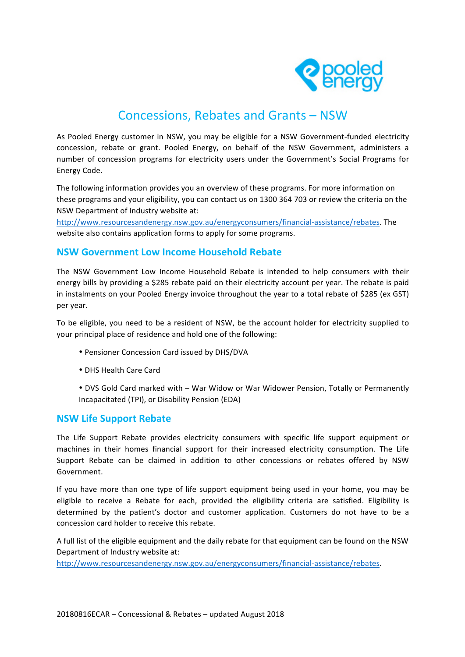

# Concessions, Rebates and Grants - NSW

As Pooled Energy customer in NSW, you may be eligible for a NSW Government-funded electricity concession, rebate or grant. Pooled Energy, on behalf of the NSW Government, administers a number of concession programs for electricity users under the Government's Social Programs for Energy Code. 

The following information provides you an overview of these programs. For more information on these programs and your eligibility, you can contact us on 1300 364 703 or review the criteria on the NSW Department of Industry website at:

<http://www.resourcesandenergy.nsw.gov.au/energyconsumers/financial-assistance/rebates>. The website also contains application forms to apply for some programs.

# **NSW Government Low Income Household Rebate**

The NSW Government Low Income Household Rebate is intended to help consumers with their energy bills by providing a \$285 rebate paid on their electricity account per year. The rebate is paid in instalments on your Pooled Energy invoice throughout the year to a total rebate of \$285 (ex GST) per year.

To be eligible, you need to be a resident of NSW, be the account holder for electricity supplied to your principal place of residence and hold one of the following:

- Pensioner Concession Card issued by DHS/DVA
- DHS Health Care Card
- DVS Gold Card marked with War Widow or War Widower Pension, Totally or Permanently Incapacitated (TPI), or Disability Pension (EDA)

### **NSW Life Support Rebate**

The Life Support Rebate provides electricity consumers with specific life support equipment or machines in their homes financial support for their increased electricity consumption. The Life Support Rebate can be claimed in addition to other concessions or rebates offered by NSW Government. 

If you have more than one type of life support equipment being used in your home, you may be eligible to receive a Rebate for each, provided the eligibility criteria are satisfied. Eligibility is determined by the patient's doctor and customer application. Customers do not have to be a concession card holder to receive this rebate.

A full list of the eligible equipment and the daily rebate for that equipment can be found on the NSW Department of Industry website at:

<http://www.resourcesandenergy.nsw.gov.au/energyconsumers/financial-assistance/rebates>.